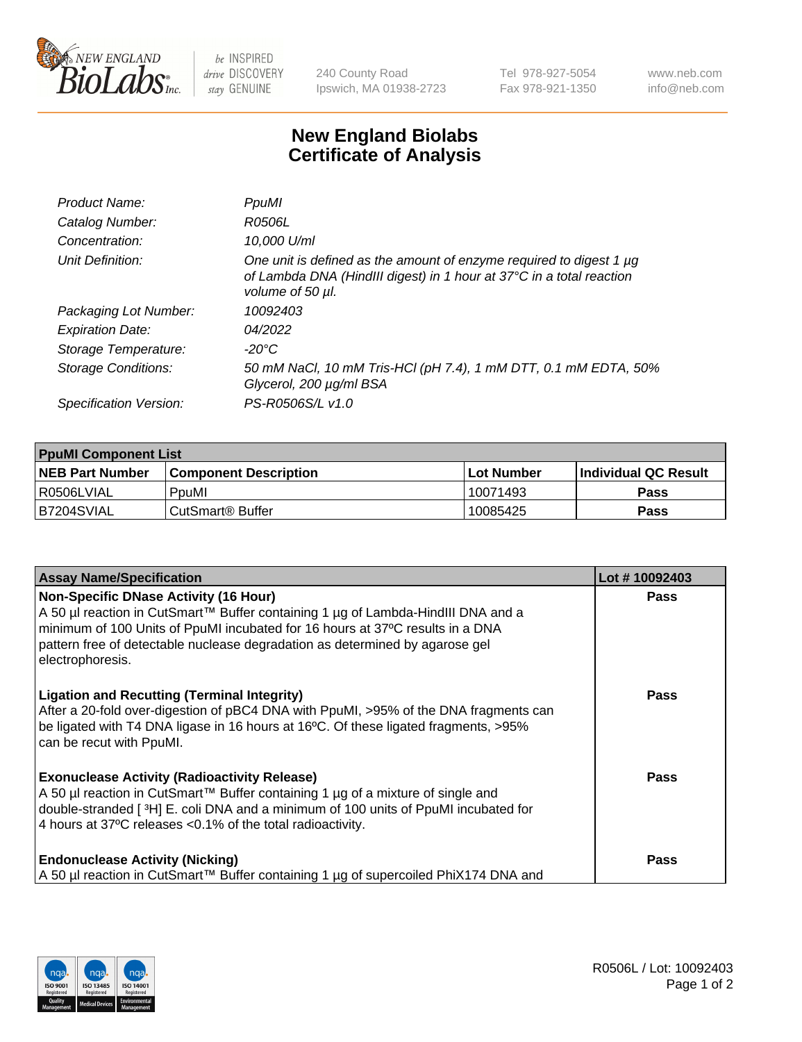

 $be$  INSPIRED drive DISCOVERY stay GENUINE

240 County Road Ipswich, MA 01938-2723 Tel 978-927-5054 Fax 978-921-1350 www.neb.com info@neb.com

## **New England Biolabs Certificate of Analysis**

| Product Name:           | PpuMI                                                                                                                                                                |
|-------------------------|----------------------------------------------------------------------------------------------------------------------------------------------------------------------|
| Catalog Number:         | R0506L                                                                                                                                                               |
| Concentration:          | 10,000 U/ml                                                                                                                                                          |
| Unit Definition:        | One unit is defined as the amount of enzyme required to digest 1 $\mu$ g<br>of Lambda DNA (HindIII digest) in 1 hour at 37°C in a total reaction<br>volume of 50 µl. |
| Packaging Lot Number:   | 10092403                                                                                                                                                             |
| <b>Expiration Date:</b> | 04/2022                                                                                                                                                              |
| Storage Temperature:    | -20°C                                                                                                                                                                |
| Storage Conditions:     | 50 mM NaCl, 10 mM Tris-HCl (pH 7.4), 1 mM DTT, 0.1 mM EDTA, 50%<br>Glycerol, 200 µg/ml BSA                                                                           |
| Specification Version:  | PS-R0506S/L v1.0                                                                                                                                                     |

| <b>PpuMI Component List</b> |                              |            |                       |  |  |
|-----------------------------|------------------------------|------------|-----------------------|--|--|
| <b>NEB Part Number</b>      | <b>Component Description</b> | Lot Number | ∣Individual QC Result |  |  |
| R0506LVIAL                  | PpuMI                        | 10071493   | <b>Pass</b>           |  |  |
| IB7204SVIAL                 | l CutSmart® Buffer           | 10085425   | <b>Pass</b>           |  |  |

| <b>Assay Name/Specification</b>                                                                                                                                                                                                                                                                                       | Lot #10092403 |
|-----------------------------------------------------------------------------------------------------------------------------------------------------------------------------------------------------------------------------------------------------------------------------------------------------------------------|---------------|
| <b>Non-Specific DNase Activity (16 Hour)</b><br>A 50 µl reaction in CutSmart™ Buffer containing 1 µg of Lambda-HindIII DNA and a<br>minimum of 100 Units of PpuMI incubated for 16 hours at 37°C results in a DNA<br>pattern free of detectable nuclease degradation as determined by agarose gel<br>electrophoresis. | <b>Pass</b>   |
| <b>Ligation and Recutting (Terminal Integrity)</b><br>After a 20-fold over-digestion of pBC4 DNA with PpuMI, >95% of the DNA fragments can<br>be ligated with T4 DNA ligase in 16 hours at 16°C. Of these ligated fragments, >95%<br>can be recut with PpuMI.                                                         | Pass          |
| <b>Exonuclease Activity (Radioactivity Release)</b><br>  A 50 µl reaction in CutSmart™ Buffer containing 1 µg of a mixture of single and<br>double-stranded [3H] E. coli DNA and a minimum of 100 units of PpuMI incubated for<br>4 hours at 37°C releases < 0.1% of the total radioactivity.                         | Pass          |
| <b>Endonuclease Activity (Nicking)</b><br>A 50 µl reaction in CutSmart™ Buffer containing 1 µg of supercoiled PhiX174 DNA and                                                                                                                                                                                         | Pass          |